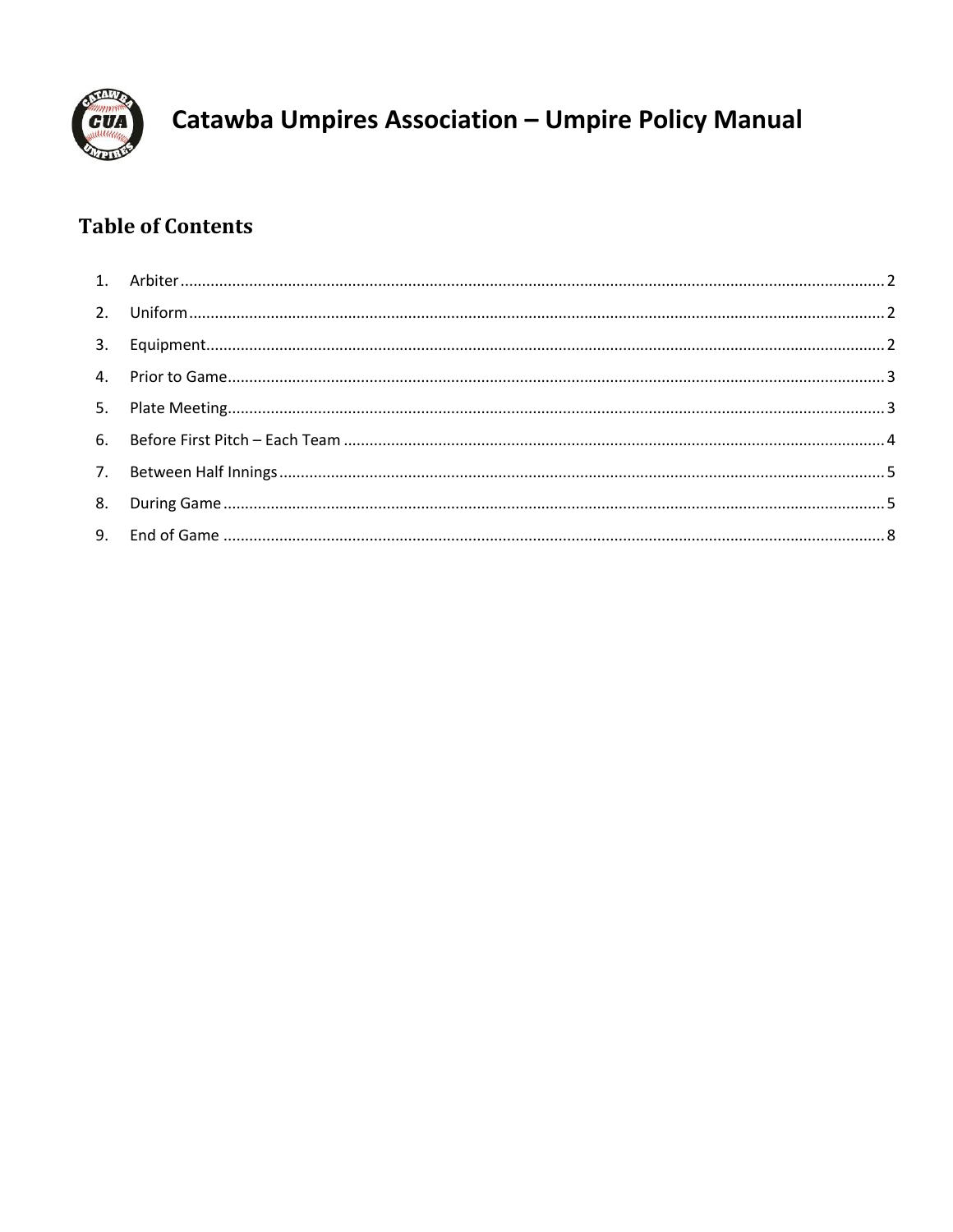

# **Table of Contents**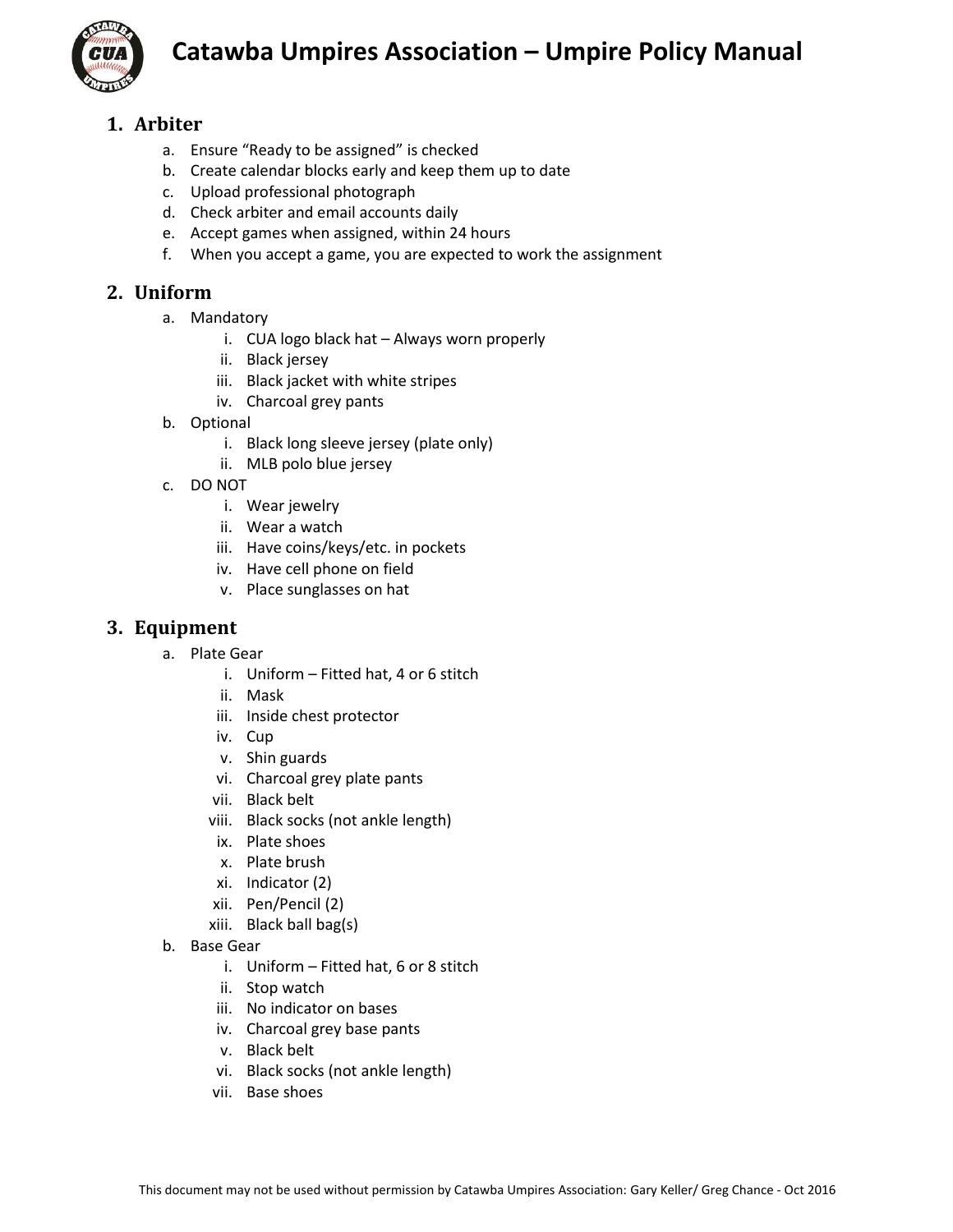

## <span id="page-1-0"></span>**1. Arbiter**

- a. Ensure "Ready to be assigned" is checked
- b. Create calendar blocks early and keep them up to date
- c. Upload professional photograph
- d. Check arbiter and email accounts daily
- e. Accept games when assigned, within 24 hours
- f. When you accept a game, you are expected to work the assignment

### <span id="page-1-1"></span>**2. Uniform**

- a. Mandatory
	- i. CUA logo black hat Always worn properly
	- ii. Black jersey
	- iii. Black jacket with white stripes
	- iv. Charcoal grey pants
- b. Optional
	- i. Black long sleeve jersey (plate only)
	- ii. MLB polo blue jersey
- c. DO NOT
	- i. Wear jewelry
	- ii. Wear a watch
	- iii. Have coins/keys/etc. in pockets
	- iv. Have cell phone on field
	- v. Place sunglasses on hat

### <span id="page-1-2"></span>**3. Equipment**

- a. Plate Gear
	- i. Uniform Fitted hat, 4 or 6 stitch
	- ii. Mask
	- iii. Inside chest protector
	- iv. Cup
	- v. Shin guards
	- vi. Charcoal grey plate pants
	- vii. Black belt
	- viii. Black socks (not ankle length)
	- ix. Plate shoes
	- x. Plate brush
	- xi. Indicator (2)
	- xii. Pen/Pencil (2)
	- xiii. Black ball bag(s)
- b. Base Gear
	- i. Uniform Fitted hat, 6 or 8 stitch
	- ii. Stop watch
	- iii. No indicator on bases
	- iv. Charcoal grey base pants
	- v. Black belt
	- vi. Black socks (not ankle length)
	- vii. Base shoes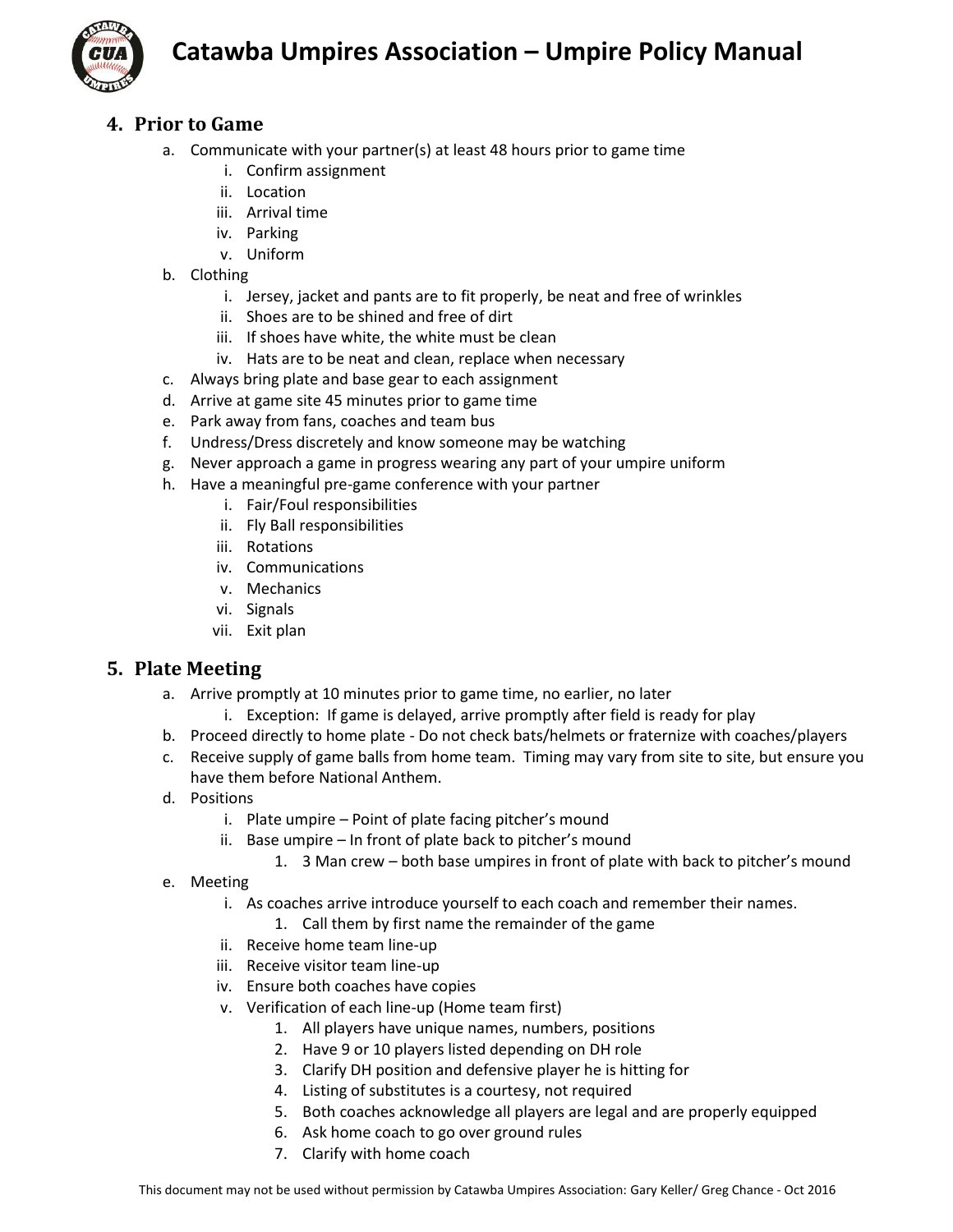

### <span id="page-2-0"></span>**4. Prior to Game**

- a. Communicate with your partner(s) at least 48 hours prior to game time
	- i. Confirm assignment
	- ii. Location
	- iii. Arrival time
	- iv. Parking
	- v. Uniform
- b. Clothing
	- i. Jersey, jacket and pants are to fit properly, be neat and free of wrinkles
	- ii. Shoes are to be shined and free of dirt
	- iii. If shoes have white, the white must be clean
	- iv. Hats are to be neat and clean, replace when necessary
- c. Always bring plate and base gear to each assignment
- d. Arrive at game site 45 minutes prior to game time
- e. Park away from fans, coaches and team bus
- f. Undress/Dress discretely and know someone may be watching
- g. Never approach a game in progress wearing any part of your umpire uniform
- h. Have a meaningful pre-game conference with your partner
	- i. Fair/Foul responsibilities
	- ii. Fly Ball responsibilities
	- iii. Rotations
	- iv. Communications
	- v. Mechanics
	- vi. Signals
	- vii. Exit plan

#### <span id="page-2-1"></span>**5. Plate Meeting**

- a. Arrive promptly at 10 minutes prior to game time, no earlier, no later
	- i. Exception: If game is delayed, arrive promptly after field is ready for play
- b. Proceed directly to home plate Do not check bats/helmets or fraternize with coaches/players
- c. Receive supply of game balls from home team. Timing may vary from site to site, but ensure you have them before National Anthem.
- d. Positions
	- i. Plate umpire Point of plate facing pitcher's mound
	- ii. Base umpire In front of plate back to pitcher's mound
		- 1. 3 Man crew both base umpires in front of plate with back to pitcher's mound
- e. Meeting
	- i. As coaches arrive introduce yourself to each coach and remember their names.
		- 1. Call them by first name the remainder of the game
	- ii. Receive home team line-up
	- iii. Receive visitor team line-up
	- iv. Ensure both coaches have copies
	- v. Verification of each line-up (Home team first)
		- 1. All players have unique names, numbers, positions
		- 2. Have 9 or 10 players listed depending on DH role
		- 3. Clarify DH position and defensive player he is hitting for
		- 4. Listing of substitutes is a courtesy, not required
		- 5. Both coaches acknowledge all players are legal and are properly equipped
		- 6. Ask home coach to go over ground rules
		- 7. Clarify with home coach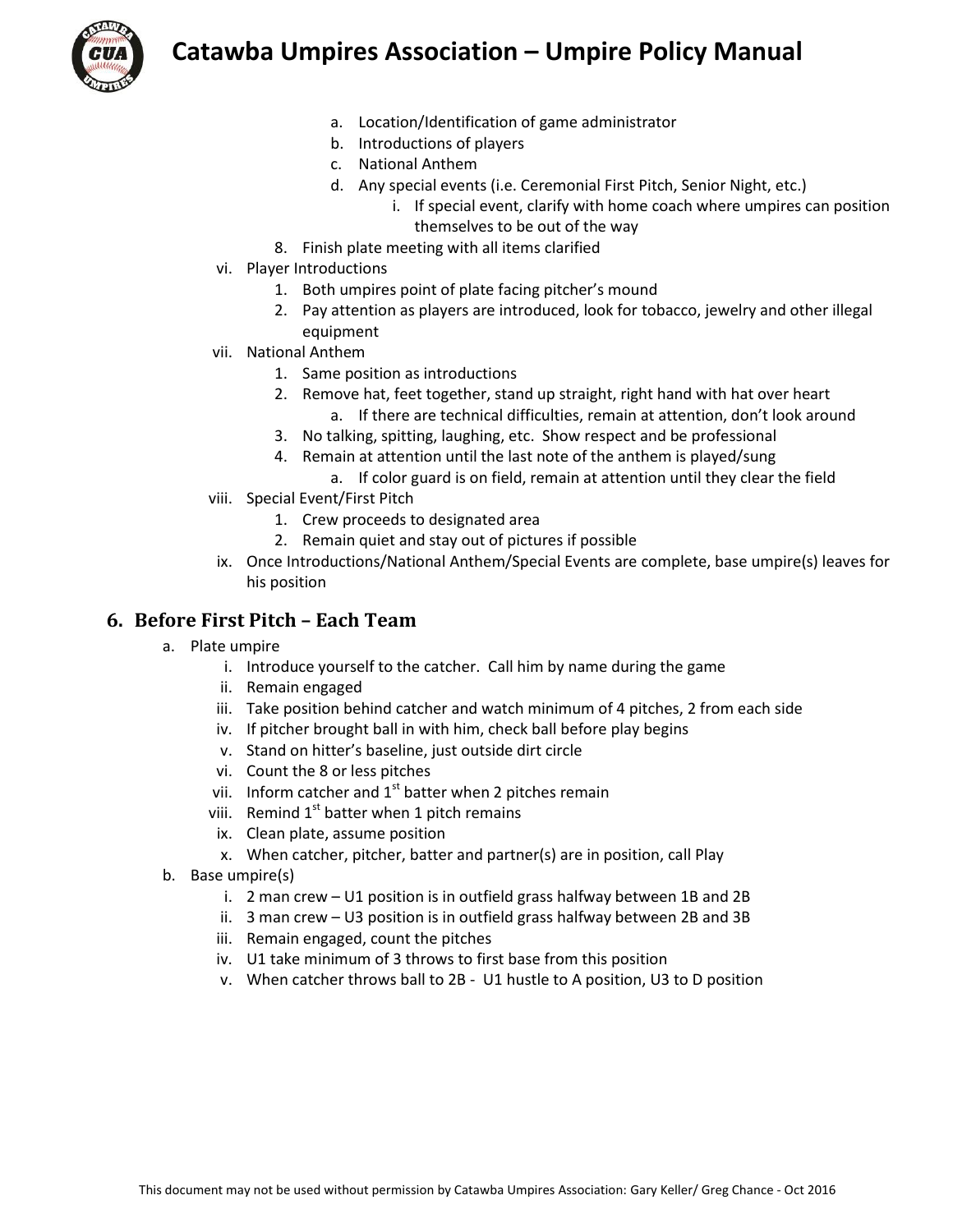

- a. Location/Identification of game administrator
- b. Introductions of players
- c. National Anthem
- d. Any special events (i.e. Ceremonial First Pitch, Senior Night, etc.)
	- i. If special event, clarify with home coach where umpires can position themselves to be out of the way
- 8. Finish plate meeting with all items clarified
- vi. Player Introductions
	- 1. Both umpires point of plate facing pitcher's mound
	- 2. Pay attention as players are introduced, look for tobacco, jewelry and other illegal equipment
- vii. National Anthem
	- 1. Same position as introductions
	- 2. Remove hat, feet together, stand up straight, right hand with hat over heart a. If there are technical difficulties, remain at attention, don't look around
	- 3. No talking, spitting, laughing, etc. Show respect and be professional
	- 4. Remain at attention until the last note of the anthem is played/sung
		- a. If color guard is on field, remain at attention until they clear the field
- viii. Special Event/First Pitch
	- 1. Crew proceeds to designated area
	- 2. Remain quiet and stay out of pictures if possible
- ix. Once Introductions/National Anthem/Special Events are complete, base umpire(s) leaves for his position

#### <span id="page-3-0"></span>**6. Before First Pitch – Each Team**

- a. Plate umpire
	- i. Introduce yourself to the catcher. Call him by name during the game
	- ii. Remain engaged
	- iii. Take position behind catcher and watch minimum of 4 pitches, 2 from each side
	- iv. If pitcher brought ball in with him, check ball before play begins
	- v. Stand on hitter's baseline, just outside dirt circle
	- vi. Count the 8 or less pitches
	- vii. Inform catcher and  $1<sup>st</sup>$  batter when 2 pitches remain
	- viii. Remind  $1^{st}$  batter when 1 pitch remains
	- ix. Clean plate, assume position
	- x. When catcher, pitcher, batter and partner(s) are in position, call Play
- b. Base umpire(s)
	- i. 2 man crew U1 position is in outfield grass halfway between 1B and 2B
	- ii. 3 man crew U3 position is in outfield grass halfway between 2B and 3B
	- iii. Remain engaged, count the pitches
	- iv. U1 take minimum of 3 throws to first base from this position
	- v. When catcher throws ball to 2B U1 hustle to A position, U3 to D position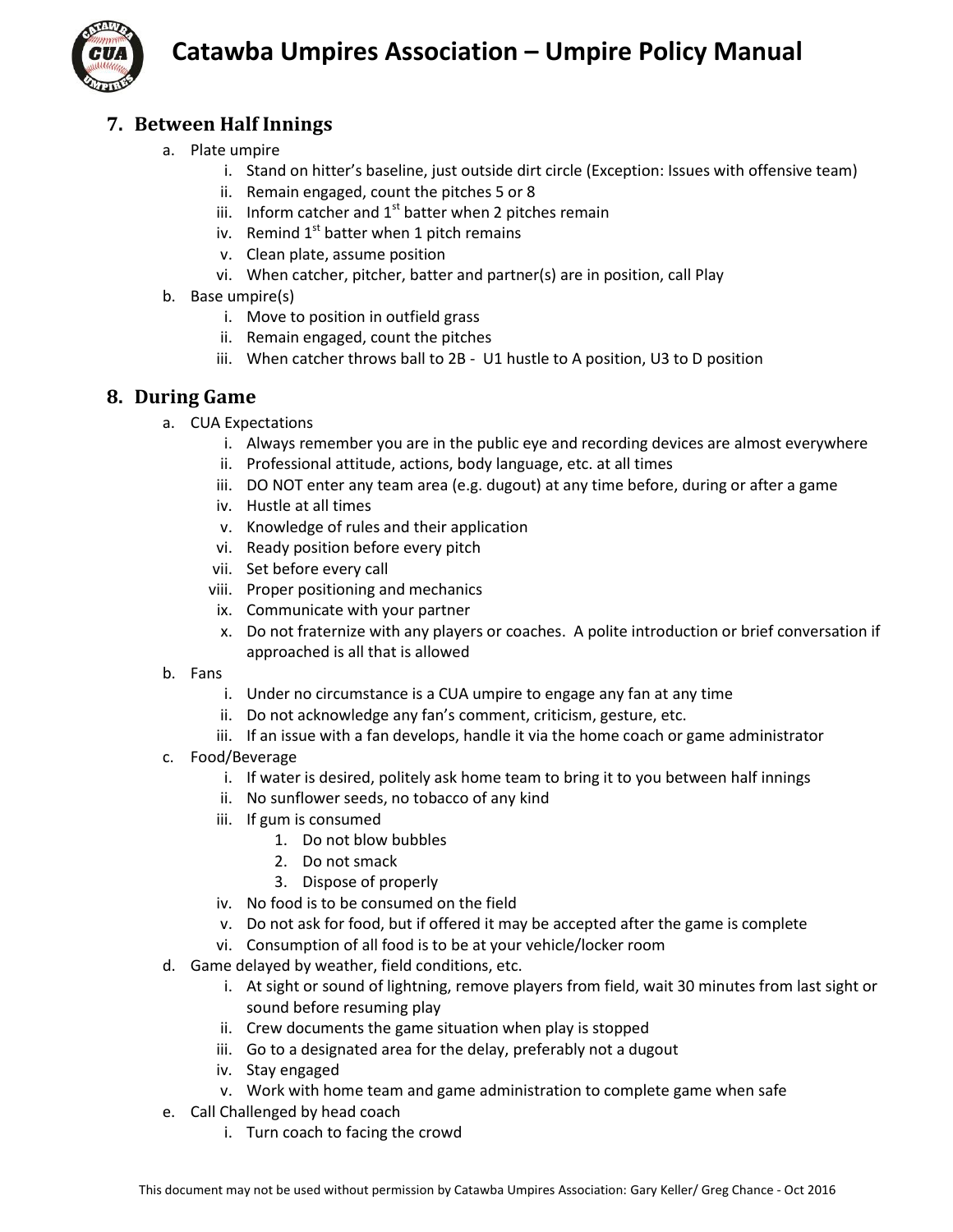



### <span id="page-4-0"></span>**7. Between Half Innings**

- a. Plate umpire
	- i. Stand on hitter's baseline, just outside dirt circle (Exception: Issues with offensive team)
	- ii. Remain engaged, count the pitches 5 or 8
	- iii. Inform catcher and  $1<sup>st</sup>$  batter when 2 pitches remain
	- iv. Remind  $1<sup>st</sup>$  batter when 1 pitch remains
	- v. Clean plate, assume position
	- vi. When catcher, pitcher, batter and partner(s) are in position, call Play
- b. Base umpire(s)
	- i. Move to position in outfield grass
	- ii. Remain engaged, count the pitches
	- iii. When catcher throws ball to 2B U1 hustle to A position, U3 to D position

#### <span id="page-4-1"></span>**8. During Game**

- a. CUA Expectations
	- i. Always remember you are in the public eye and recording devices are almost everywhere
	- ii. Professional attitude, actions, body language, etc. at all times
	- iii. DO NOT enter any team area (e.g. dugout) at any time before, during or after a game
	- iv. Hustle at all times
	- v. Knowledge of rules and their application
	- vi. Ready position before every pitch
	- vii. Set before every call
	- viii. Proper positioning and mechanics
	- ix. Communicate with your partner
	- x. Do not fraternize with any players or coaches. A polite introduction or brief conversation if approached is all that is allowed
- b. Fans
	- i. Under no circumstance is a CUA umpire to engage any fan at any time
	- ii. Do not acknowledge any fan's comment, criticism, gesture, etc.
	- iii. If an issue with a fan develops, handle it via the home coach or game administrator
- c. Food/Beverage
	- i. If water is desired, politely ask home team to bring it to you between half innings
	- ii. No sunflower seeds, no tobacco of any kind
	- iii. If gum is consumed
		- 1. Do not blow bubbles
		- 2. Do not smack
		- 3. Dispose of properly
	- iv. No food is to be consumed on the field
	- v. Do not ask for food, but if offered it may be accepted after the game is complete
	- vi. Consumption of all food is to be at your vehicle/locker room
- d. Game delayed by weather, field conditions, etc.
	- i. At sight or sound of lightning, remove players from field, wait 30 minutes from last sight or sound before resuming play
	- ii. Crew documents the game situation when play is stopped
	- iii. Go to a designated area for the delay, preferably not a dugout
	- iv. Stay engaged
	- v. Work with home team and game administration to complete game when safe
- e. Call Challenged by head coach
	- i. Turn coach to facing the crowd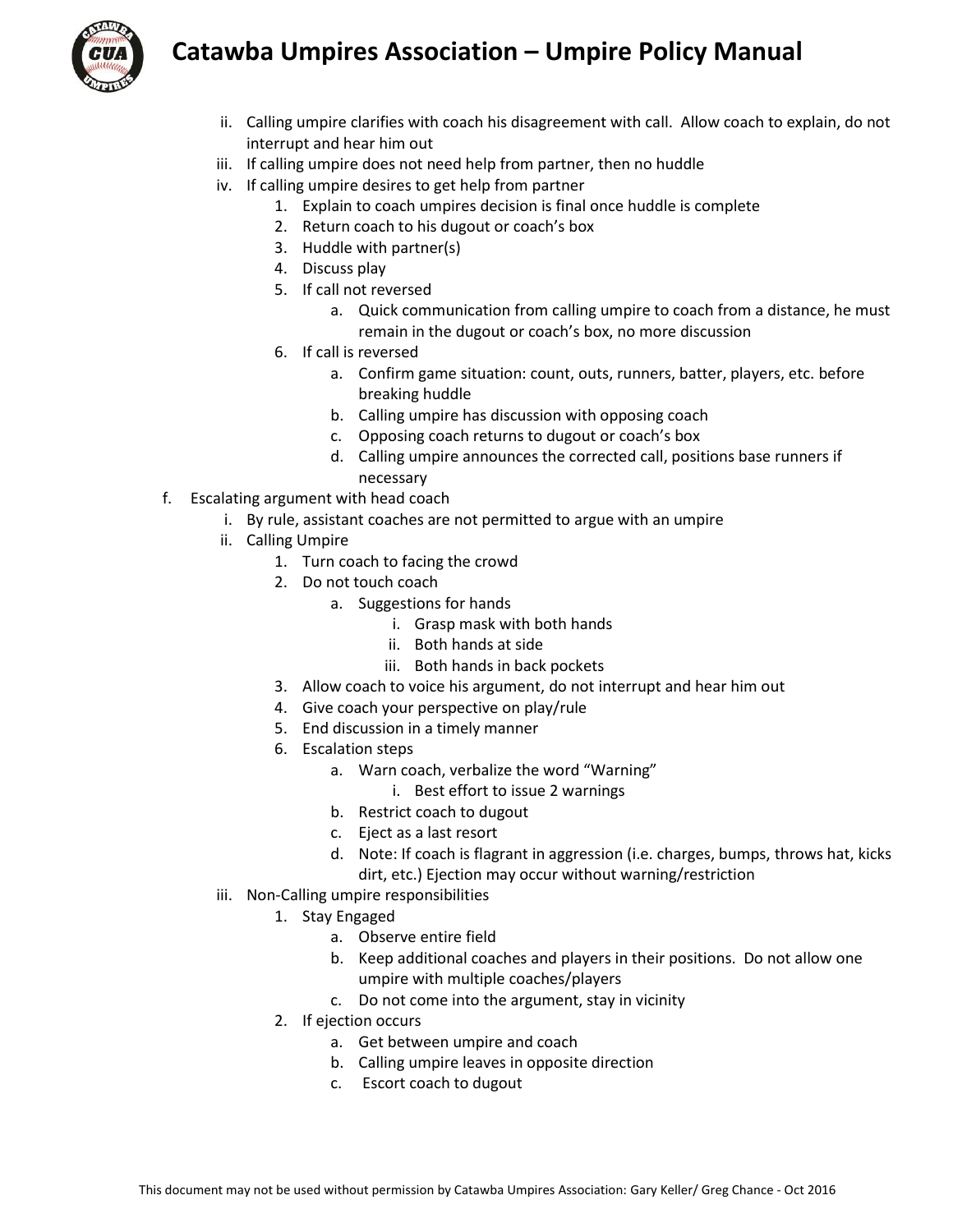



- ii. Calling umpire clarifies with coach his disagreement with call. Allow coach to explain, do not interrupt and hear him out
- iii. If calling umpire does not need help from partner, then no huddle
- iv. If calling umpire desires to get help from partner
	- 1. Explain to coach umpires decision is final once huddle is complete
	- 2. Return coach to his dugout or coach's box
	- 3. Huddle with partner(s)
	- 4. Discuss play
	- 5. If call not reversed
		- a. Quick communication from calling umpire to coach from a distance, he must remain in the dugout or coach's box, no more discussion
	- 6. If call is reversed
		- a. Confirm game situation: count, outs, runners, batter, players, etc. before breaking huddle
		- b. Calling umpire has discussion with opposing coach
		- c. Opposing coach returns to dugout or coach's box
		- d. Calling umpire announces the corrected call, positions base runners if necessary
- f. Escalating argument with head coach
	- i. By rule, assistant coaches are not permitted to argue with an umpire
	- ii. Calling Umpire
		- 1. Turn coach to facing the crowd
			- 2. Do not touch coach
				- a. Suggestions for hands
					- i. Grasp mask with both hands
					- ii. Both hands at side
					- iii. Both hands in back pockets
		- 3. Allow coach to voice his argument, do not interrupt and hear him out
		- 4. Give coach your perspective on play/rule
		- 5. End discussion in a timely manner
		- 6. Escalation steps
			- a. Warn coach, verbalize the word "Warning"
				- i. Best effort to issue 2 warnings
			- b. Restrict coach to dugout
			- c. Eject as a last resort
			- d. Note: If coach is flagrant in aggression (i.e. charges, bumps, throws hat, kicks dirt, etc.) Ejection may occur without warning/restriction
	- iii. Non-Calling umpire responsibilities
		- 1. Stay Engaged
			- a. Observe entire field
			- b. Keep additional coaches and players in their positions. Do not allow one umpire with multiple coaches/players
			- c. Do not come into the argument, stay in vicinity
		- 2. If ejection occurs
			- a. Get between umpire and coach
			- b. Calling umpire leaves in opposite direction
			- c. Escort coach to dugout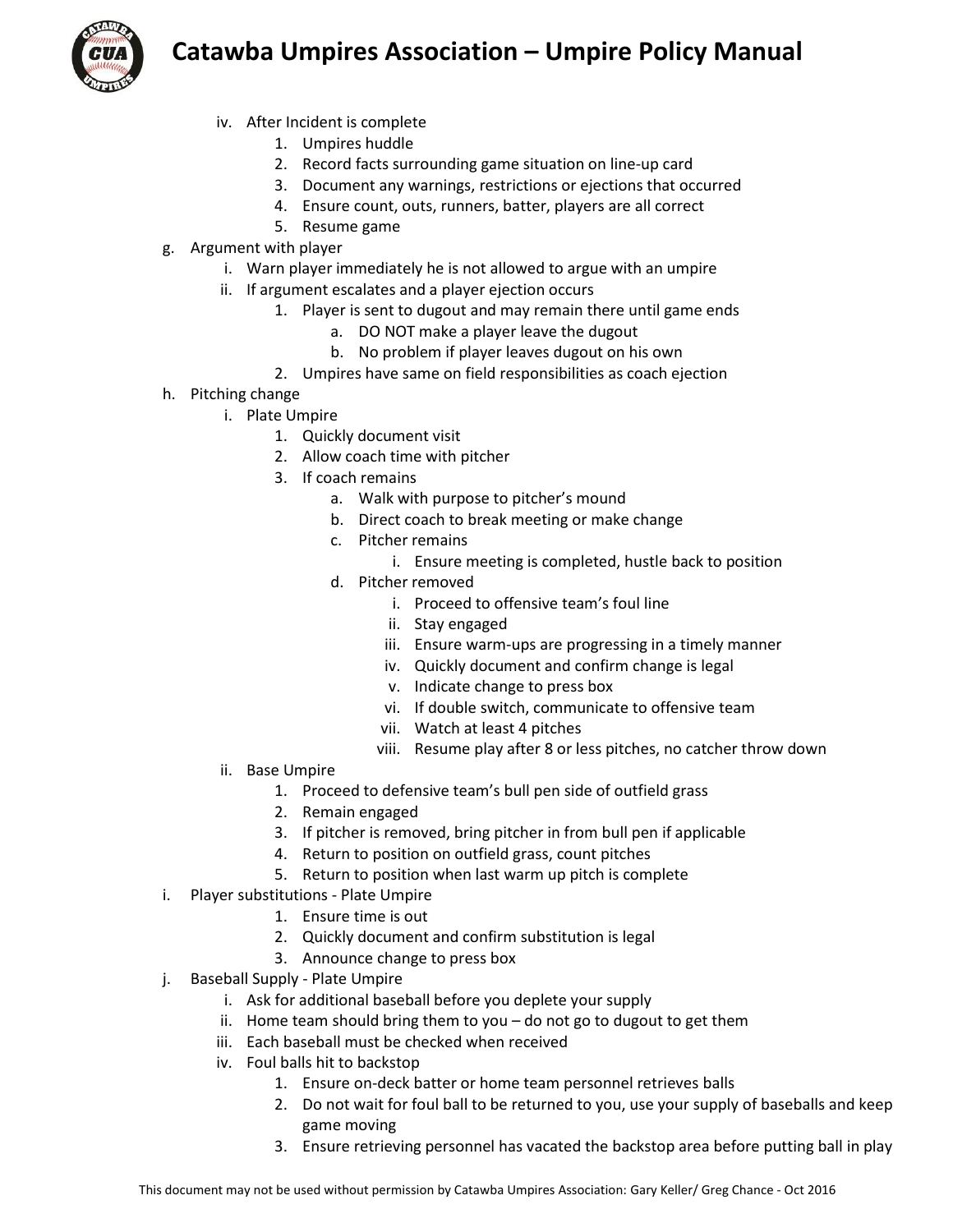

- iv. After Incident is complete
	- 1. Umpires huddle
	- 2. Record facts surrounding game situation on line-up card
	- 3. Document any warnings, restrictions or ejections that occurred
	- 4. Ensure count, outs, runners, batter, players are all correct
	- 5. Resume game
- g. Argument with player
	- i. Warn player immediately he is not allowed to argue with an umpire
	- ii. If argument escalates and a player ejection occurs
		- 1. Player is sent to dugout and may remain there until game ends
			- a. DO NOT make a player leave the dugout
			- b. No problem if player leaves dugout on his own
		- 2. Umpires have same on field responsibilities as coach ejection
- h. Pitching change
	- i. Plate Umpire
		- 1. Quickly document visit
		- 2. Allow coach time with pitcher
		- 3. If coach remains
			- a. Walk with purpose to pitcher's mound
			- b. Direct coach to break meeting or make change
			- c. Pitcher remains
				- i. Ensure meeting is completed, hustle back to position
			- d. Pitcher removed
				- i. Proceed to offensive team's foul line
				- ii. Stay engaged
				- iii. Ensure warm-ups are progressing in a timely manner
				- iv. Quickly document and confirm change is legal
				- v. Indicate change to press box
				- vi. If double switch, communicate to offensive team
				- vii. Watch at least 4 pitches
				- viii. Resume play after 8 or less pitches, no catcher throw down
	- ii. Base Umpire
		- 1. Proceed to defensive team's bull pen side of outfield grass
		- 2. Remain engaged
		- 3. If pitcher is removed, bring pitcher in from bull pen if applicable
		- 4. Return to position on outfield grass, count pitches
		- 5. Return to position when last warm up pitch is complete
- i. Player substitutions Plate Umpire
	- 1. Ensure time is out
	- 2. Quickly document and confirm substitution is legal
	- 3. Announce change to press box
- j. Baseball Supply Plate Umpire
	- i. Ask for additional baseball before you deplete your supply
	- ii. Home team should bring them to you do not go to dugout to get them
	- iii. Each baseball must be checked when received
	- iv. Foul balls hit to backstop
		- 1. Ensure on-deck batter or home team personnel retrieves balls
		- 2. Do not wait for foul ball to be returned to you, use your supply of baseballs and keep game moving
		- 3. Ensure retrieving personnel has vacated the backstop area before putting ball in play